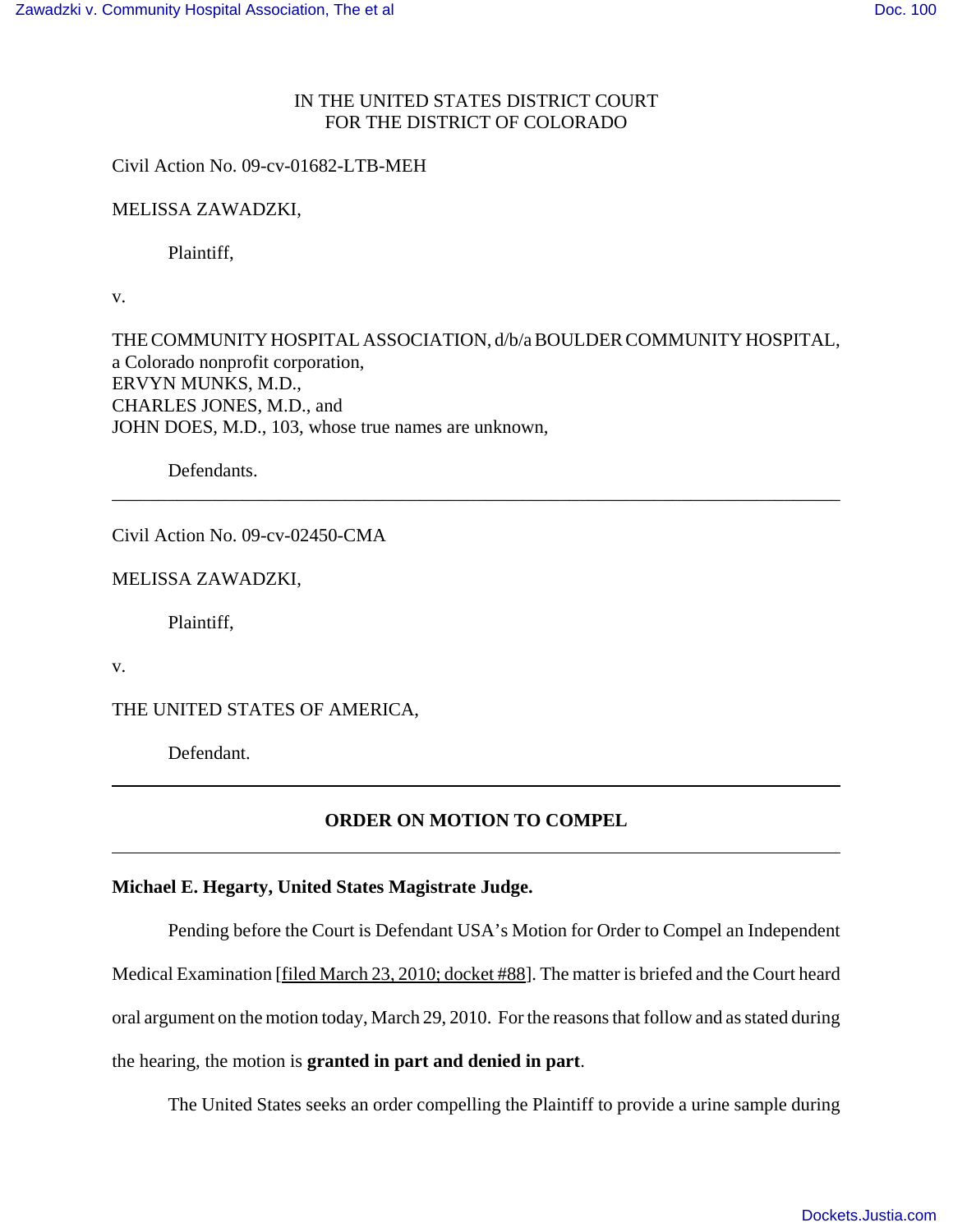## IN THE UNITED STATES DISTRICT COURT FOR THE DISTRICT OF COLORADO

Civil Action No. 09-cv-01682-LTB-MEH

MELISSA ZAWADZKI,

Plaintiff,

v.

THE COMMUNITY HOSPITAL ASSOCIATION, d/b/a BOULDER COMMUNITY HOSPITAL, a Colorado nonprofit corporation, ERVYN MUNKS, M.D., CHARLES JONES, M.D., and JOHN DOES, M.D., 103, whose true names are unknown,

\_\_\_\_\_\_\_\_\_\_\_\_\_\_\_\_\_\_\_\_\_\_\_\_\_\_\_\_\_\_\_\_\_\_\_\_\_\_\_\_\_\_\_\_\_\_\_\_\_\_\_\_\_\_\_\_\_\_\_\_\_\_\_\_\_\_\_\_\_\_\_\_\_\_\_\_\_\_

Defendants.

Civil Action No. 09-cv-02450-CMA

MELISSA ZAWADZKI,

Plaintiff,

v.

THE UNITED STATES OF AMERICA,

Defendant.

## **ORDER ON MOTION TO COMPEL**

## **Michael E. Hegarty, United States Magistrate Judge.**

Pending before the Court is Defendant USA's Motion for Order to Compel an Independent Medical Examination [filed March 23, 2010; docket #88]. The matter is briefed and the Court heard oral argument on the motion today, March 29, 2010. For the reasons that follow and as stated during the hearing, the motion is **granted in part and denied in part**.

The United States seeks an order compelling the Plaintiff to provide a urine sample during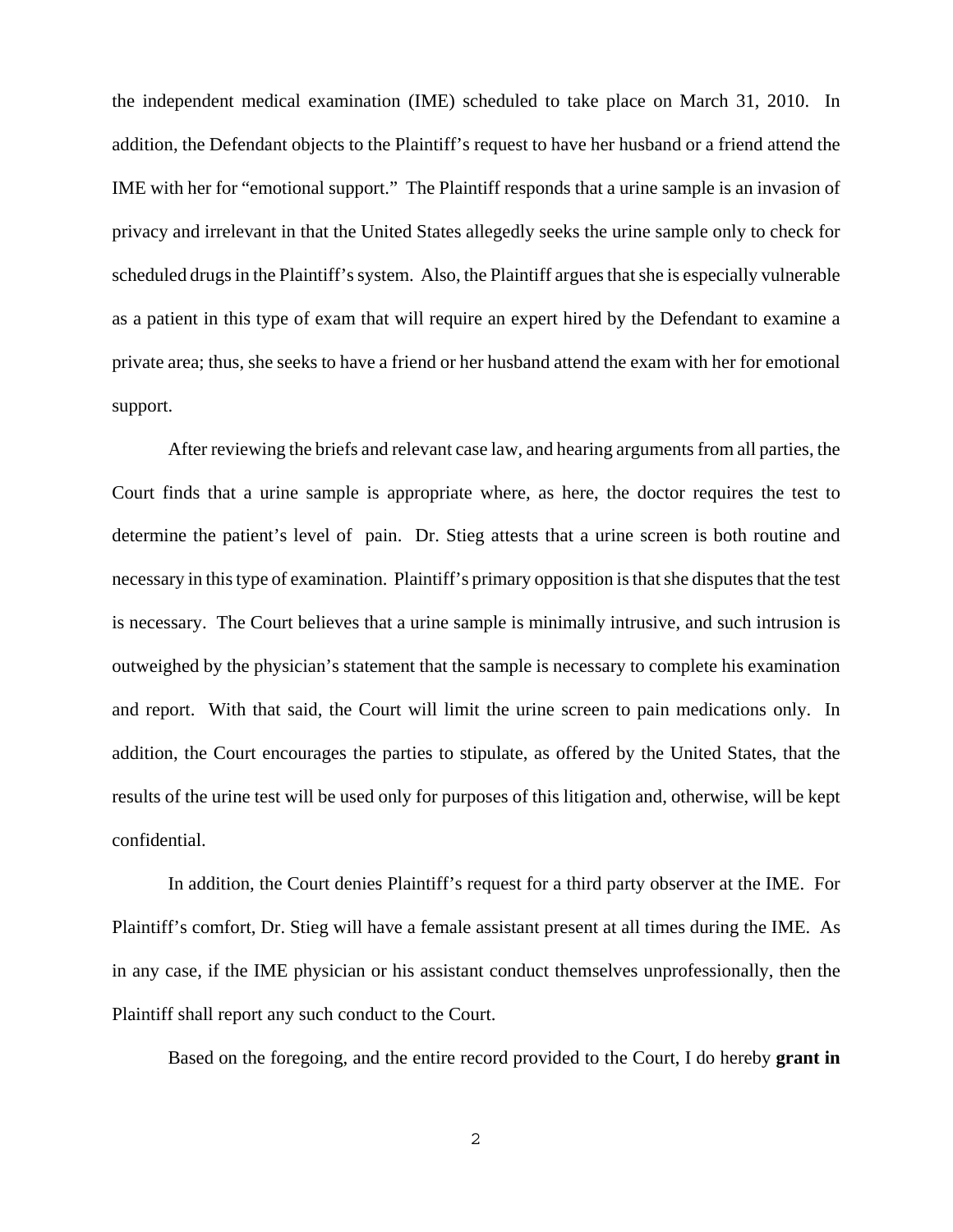the independent medical examination (IME) scheduled to take place on March 31, 2010. In addition, the Defendant objects to the Plaintiff's request to have her husband or a friend attend the IME with her for "emotional support." The Plaintiff responds that a urine sample is an invasion of privacy and irrelevant in that the United States allegedly seeks the urine sample only to check for scheduled drugs in the Plaintiff's system. Also, the Plaintiff argues that she is especially vulnerable as a patient in this type of exam that will require an expert hired by the Defendant to examine a private area; thus, she seeks to have a friend or her husband attend the exam with her for emotional support.

After reviewing the briefs and relevant case law, and hearing arguments from all parties, the Court finds that a urine sample is appropriate where, as here, the doctor requires the test to determine the patient's level of pain. Dr. Stieg attests that a urine screen is both routine and necessary in this type of examination. Plaintiff's primary opposition is that she disputes that the test is necessary. The Court believes that a urine sample is minimally intrusive, and such intrusion is outweighed by the physician's statement that the sample is necessary to complete his examination and report. With that said, the Court will limit the urine screen to pain medications only. In addition, the Court encourages the parties to stipulate, as offered by the United States, that the results of the urine test will be used only for purposes of this litigation and, otherwise, will be kept confidential.

In addition, the Court denies Plaintiff's request for a third party observer at the IME. For Plaintiff's comfort, Dr. Stieg will have a female assistant present at all times during the IME. As in any case, if the IME physician or his assistant conduct themselves unprofessionally, then the Plaintiff shall report any such conduct to the Court.

Based on the foregoing, and the entire record provided to the Court, I do hereby **grant in**